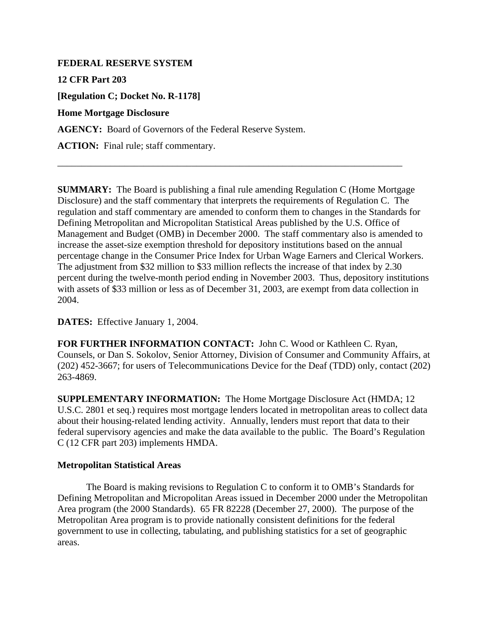## **FEDERAL RESERVE SYSTEM**

**12 CFR Part 203** 

**[Regulation C; Docket No. R-1178]** 

## **Home Mortgage Disclosure**

**AGENCY:** Board of Governors of the Federal Reserve System.

ACTION: Final rule; staff commentary.

**SUMMARY:** The Board is publishing a final rule amending Regulation C (Home Mortgage Disclosure) and the staff commentary that interprets the requirements of Regulation C. The regulation and staff commentary are amended to conform them to changes in the Standards for Defining Metropolitan and Micropolitan Statistical Areas published by the U.S. Office of Management and Budget (OMB) in December 2000. The staff commentary also is amended to increase the asset-size exemption threshold for depository institutions based on the annual percentage change in the Consumer Price Index for Urban Wage Earners and Clerical Workers. The adjustment from \$32 million to \$33 million reflects the increase of that index by 2.30 percent during the twelve-month period ending in November 2003. Thus, depository institutions with assets of \$33 million or less as of December 31, 2003, are exempt from data collection in 2004.

\_\_\_\_\_\_\_\_\_\_\_\_\_\_\_\_\_\_\_\_\_\_\_\_\_\_\_\_\_\_\_\_\_\_\_\_\_\_\_\_\_\_\_\_\_\_\_\_\_\_\_\_\_\_\_\_\_\_\_\_\_\_\_\_\_\_\_\_\_\_\_\_

**DATES:** Effective January 1, 2004.

**FOR FURTHER INFORMATION CONTACT:** John C. Wood or Kathleen C. Ryan, Counsels, or Dan S. Sokolov, Senior Attorney, Division of Consumer and Community Affairs, at (202) 452-3667; for users of Telecommunications Device for the Deaf (TDD) only, contact (202) 263-4869.

**SUPPLEMENTARY INFORMATION:** The Home Mortgage Disclosure Act (HMDA; 12 U.S.C. 2801 et seq.) requires most mortgage lenders located in metropolitan areas to collect data about their housing-related lending activity. Annually, lenders must report that data to their federal supervisory agencies and make the data available to the public. The Board's Regulation C (12 CFR part 203) implements HMDA.

## **Metropolitan Statistical Areas**

The Board is making revisions to Regulation C to conform it to OMB's Standards for Defining Metropolitan and Micropolitan Areas issued in December 2000 under the Metropolitan Area program (the 2000 Standards). 65 FR 82228 (December 27, 2000). The purpose of the Metropolitan Area program is to provide nationally consistent definitions for the federal government to use in collecting, tabulating, and publishing statistics for a set of geographic areas.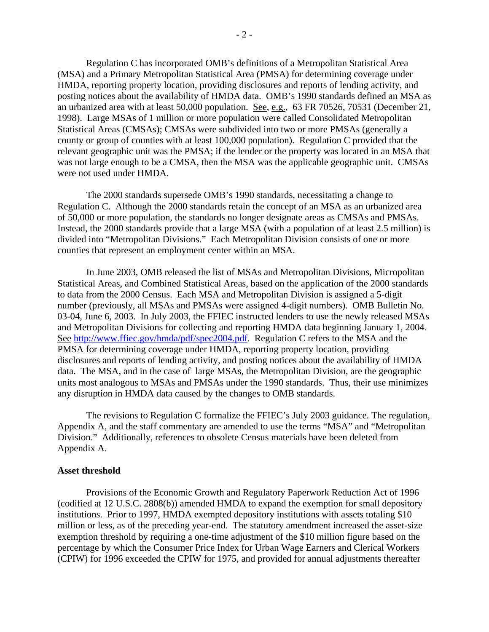Regulation C has incorporated OMB's definitions of a Metropolitan Statistical Area (MSA) and a Primary Metropolitan Statistical Area (PMSA) for determining coverage under HMDA, reporting property location, providing disclosures and reports of lending activity, and posting notices about the availability of HMDA data. OMB's 1990 standards defined an MSA as an urbanized area with at least 50,000 population. See, e.g., 63 FR 70526, 70531 (December 21, 1998). Large MSAs of 1 million or more population were called Consolidated Metropolitan Statistical Areas (CMSAs); CMSAs were subdivided into two or more PMSAs (generally a county or group of counties with at least 100,000 population). Regulation C provided that the relevant geographic unit was the PMSA; if the lender or the property was located in an MSA that was not large enough to be a CMSA, then the MSA was the applicable geographic unit. CMSAs were not used under HMDA.

 The 2000 standards supersede OMB's 1990 standards, necessitating a change to Regulation C. Although the 2000 standards retain the concept of an MSA as an urbanized area of 50,000 or more population, the standards no longer designate areas as CMSAs and PMSAs. Instead, the 2000 standards provide that a large MSA (with a population of at least 2.5 million) is divided into "Metropolitan Divisions." Each Metropolitan Division consists of one or more counties that represent an employment center within an MSA.

In June 2003, OMB released the list of MSAs and Metropolitan Divisions, Micropolitan Statistical Areas, and Combined Statistical Areas, based on the application of the 2000 standards to data from the 2000 Census. Each MSA and Metropolitan Division is assigned a 5-digit number (previously, all MSAs and PMSAs were assigned 4-digit numbers). OMB Bulletin No. 03-04, June 6, 2003. In July 2003, the FFIEC instructed lenders to use the newly released MSAs and Metropolitan Divisions for collecting and reporting HMDA data beginning January 1, 2004. See http://www.ffiec.gov/hmda/pdf/spec2004.pdf. Regulation C refers to the MSA and the PMSA for determining coverage under HMDA, reporting property location, providing disclosures and reports of lending activity, and posting notices about the availability of HMDA data. The MSA, and in the case of large MSAs, the Metropolitan Division, are the geographic units most analogous to MSAs and PMSAs under the 1990 standards. Thus, their use minimizes any disruption in HMDA data caused by the changes to OMB standards.

The revisions to Regulation C formalize the FFIEC's July 2003 guidance. The regulation, Appendix A, and the staff commentary are amended to use the terms "MSA" and "Metropolitan Division." Additionally, references to obsolete Census materials have been deleted from Appendix A.

#### **Asset threshold**

 Provisions of the Economic Growth and Regulatory Paperwork Reduction Act of 1996 (codified at 12 U.S.C. 2808(b)) amended HMDA to expand the exemption for small depository institutions. Prior to 1997, HMDA exempted depository institutions with assets totaling \$10 million or less, as of the preceding year-end. The statutory amendment increased the asset-size exemption threshold by requiring a one-time adjustment of the \$10 million figure based on the percentage by which the Consumer Price Index for Urban Wage Earners and Clerical Workers (CPIW) for 1996 exceeded the CPIW for 1975, and provided for annual adjustments thereafter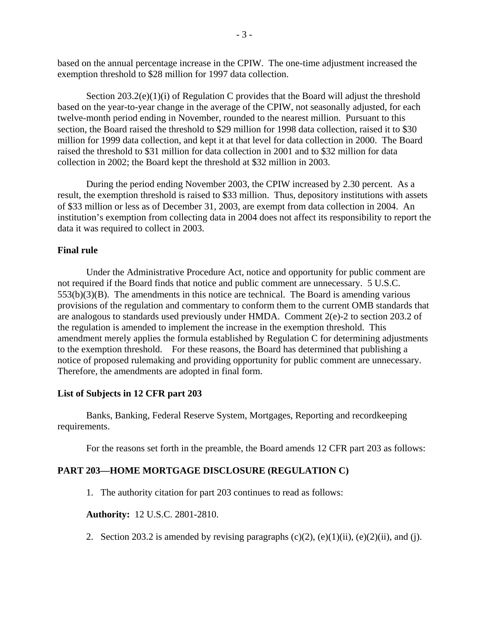based on the annual percentage increase in the CPIW. The one-time adjustment increased the exemption threshold to \$28 million for 1997 data collection.

Section  $203.2(e)(1)(i)$  of Regulation C provides that the Board will adjust the threshold based on the year-to-year change in the average of the CPIW, not seasonally adjusted, for each twelve-month period ending in November, rounded to the nearest million. Pursuant to this section, the Board raised the threshold to \$29 million for 1998 data collection, raised it to \$30 million for 1999 data collection, and kept it at that level for data collection in 2000. The Board raised the threshold to \$31 million for data collection in 2001 and to \$32 million for data collection in 2002; the Board kept the threshold at \$32 million in 2003.

 During the period ending November 2003, the CPIW increased by 2.30 percent. As a result, the exemption threshold is raised to \$33 million. Thus, depository institutions with assets of \$33 million or less as of December 31, 2003, are exempt from data collection in 2004. An institution's exemption from collecting data in 2004 does not affect its responsibility to report the data it was required to collect in 2003.

### **Final rule**

 Under the Administrative Procedure Act, notice and opportunity for public comment are not required if the Board finds that notice and public comment are unnecessary. 5 U.S.C.  $553(b)(3)(B)$ . The amendments in this notice are technical. The Board is amending various provisions of the regulation and commentary to conform them to the current OMB standards that are analogous to standards used previously under HMDA. Comment 2(e)-2 to section 203.2 of the regulation is amended to implement the increase in the exemption threshold. This amendment merely applies the formula established by Regulation C for determining adjustments to the exemption threshold. For these reasons, the Board has determined that publishing a notice of proposed rulemaking and providing opportunity for public comment are unnecessary. Therefore, the amendments are adopted in final form.

#### **List of Subjects in 12 CFR part 203**

 Banks, Banking, Federal Reserve System, Mortgages, Reporting and recordkeeping requirements.

For the reasons set forth in the preamble, the Board amends 12 CFR part 203 as follows:

## **PART 203—HOME MORTGAGE DISCLOSURE (REGULATION C)**

1. The authority citation for part 203 continues to read as follows:

**Authority:** 12 U.S.C. 2801-2810.

2. Section 203.2 is amended by revising paragraphs  $(c)(2)$ ,  $(e)(1)(ii)$ ,  $(e)(2)(ii)$ , and (j).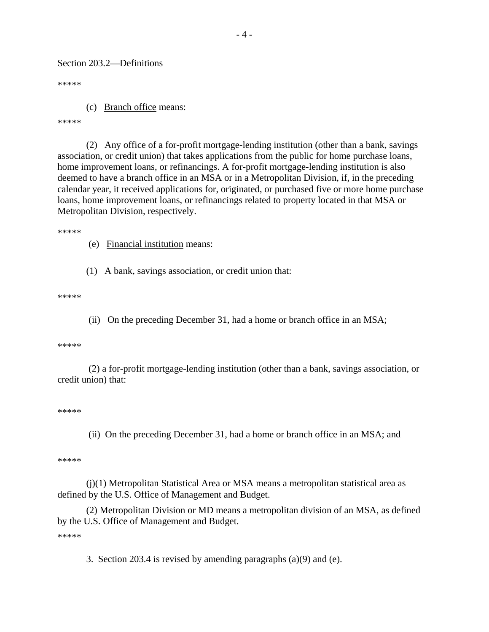Section 203.2—Definitions

\*\*\*\*\*

(c) Branch office means:

\*\*\*\*\*

(2) Any office of a for-profit mortgage-lending institution (other than a bank, savings association, or credit union) that takes applications from the public for home purchase loans, home improvement loans, or refinancings. A for-profit mortgage-lending institution is also deemed to have a branch office in an MSA or in a Metropolitan Division, if, in the preceding calendar year, it received applications for, originated, or purchased five or more home purchase loans, home improvement loans, or refinancings related to property located in that MSA or Metropolitan Division, respectively.

\*\*\*\*\*

(e) Financial institution means:

(1) A bank, savings association, or credit union that:

\*\*\*\*\*

(ii) On the preceding December 31, had a home or branch office in an MSA;

\*\*\*\*\*

 (2) a for-profit mortgage-lending institution (other than a bank, savings association, or credit union) that:

\*\*\*\*\*

(ii) On the preceding December 31, had a home or branch office in an MSA; and

\*\*\*\*\*

(j)(1) Metropolitan Statistical Area or MSA means a metropolitan statistical area as defined by the U.S. Office of Management and Budget.

(2) Metropolitan Division or MD means a metropolitan division of an MSA, as defined by the U.S. Office of Management and Budget.

\*\*\*\*\*

3. Section 203.4 is revised by amending paragraphs (a)(9) and (e).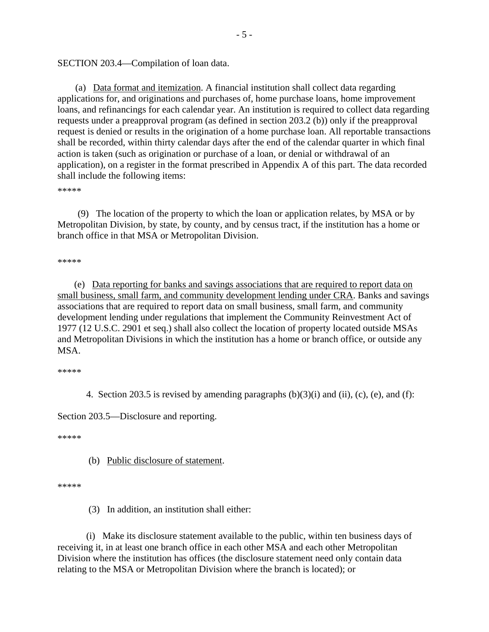SECTION 203.4—Compilation of loan data.

(a) Data format and itemization. A financial institution shall collect data regarding applications for, and originations and purchases of, home purchase loans, home improvement loans, and refinancings for each calendar year. An institution is required to collect data regarding requests under a preapproval program (as defined in section 203.2 (b)) only if the preapproval request is denied or results in the origination of a home purchase loan. All reportable transactions shall be recorded, within thirty calendar days after the end of the calendar quarter in which final action is taken (such as origination or purchase of a loan, or denial or withdrawal of an application), on a register in the format prescribed in Appendix A of this part. The data recorded shall include the following items:

\*\*\*\*\*

 (9) The location of the property to which the loan or application relates, by MSA or by Metropolitan Division, by state, by county, and by census tract, if the institution has a home or branch office in that MSA or Metropolitan Division.

\*\*\*\*\*

 (e) Data reporting for banks and savings associations that are required to report data on small business, small farm, and community development lending under CRA. Banks and savings associations that are required to report data on small business, small farm, and community development lending under regulations that implement the Community Reinvestment Act of 1977 (12 U.S.C. 2901 et seq.) shall also collect the location of property located outside MSAs and Metropolitan Divisions in which the institution has a home or branch office, or outside any MSA.

\*\*\*\*\*

4. Section 203.5 is revised by amending paragraphs  $(b)(3)(i)$  and  $(ii)$ ,  $(c)$ ,  $(e)$ , and  $(f)$ :

Section 203.5—Disclosure and reporting.

\*\*\*\*\*

(b) Public disclosure of statement.

\*\*\*\*\*

(3) In addition, an institution shall either:

(i) Make its disclosure statement available to the public, within ten business days of receiving it, in at least one branch office in each other MSA and each other Metropolitan Division where the institution has offices (the disclosure statement need only contain data relating to the MSA or Metropolitan Division where the branch is located); or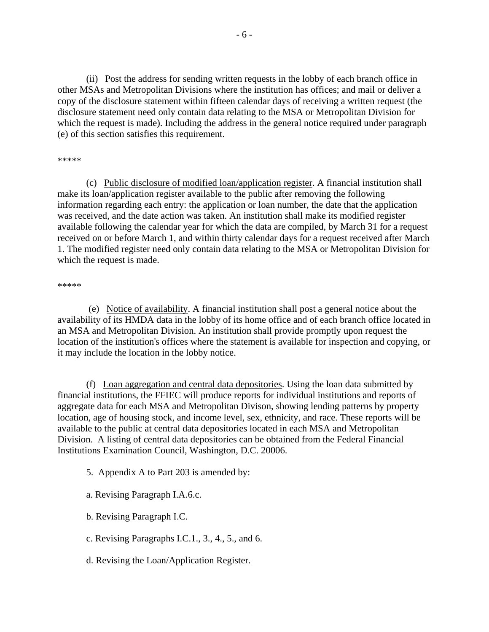(ii) Post the address for sending written requests in the lobby of each branch office in other MSAs and Metropolitan Divisions where the institution has offices; and mail or deliver a copy of the disclosure statement within fifteen calendar days of receiving a written request (the disclosure statement need only contain data relating to the MSA or Metropolitan Division for which the request is made). Including the address in the general notice required under paragraph (e) of this section satisfies this requirement.

#### \*\*\*\*\*

(c) Public disclosure of modified loan/application register. A financial institution shall make its loan/application register available to the public after removing the following information regarding each entry: the application or loan number, the date that the application was received, and the date action was taken. An institution shall make its modified register available following the calendar year for which the data are compiled, by March 31 for a request received on or before March 1, and within thirty calendar days for a request received after March 1. The modified register need only contain data relating to the MSA or Metropolitan Division for which the request is made.

#### \*\*\*\*\*

 (e) Notice of availability. A financial institution shall post a general notice about the availability of its HMDA data in the lobby of its home office and of each branch office located in an MSA and Metropolitan Division. An institution shall provide promptly upon request the location of the institution's offices where the statement is available for inspection and copying, or it may include the location in the lobby notice.

(f) Loan aggregation and central data depositories. Using the loan data submitted by financial institutions, the FFIEC will produce reports for individual institutions and reports of aggregate data for each MSA and Metropolitan Divison, showing lending patterns by property location, age of housing stock, and income level, sex, ethnicity, and race. These reports will be available to the public at central data depositories located in each MSA and Metropolitan Division. A listing of central data depositories can be obtained from the Federal Financial Institutions Examination Council, Washington, D.C. 20006.

5. Appendix A to Part 203 is amended by:

a. Revising Paragraph I.A.6.c.

b. Revising Paragraph I.C.

- c. Revising Paragraphs I.C.1., 3., 4., 5., and 6.
- d. Revising the Loan/Application Register.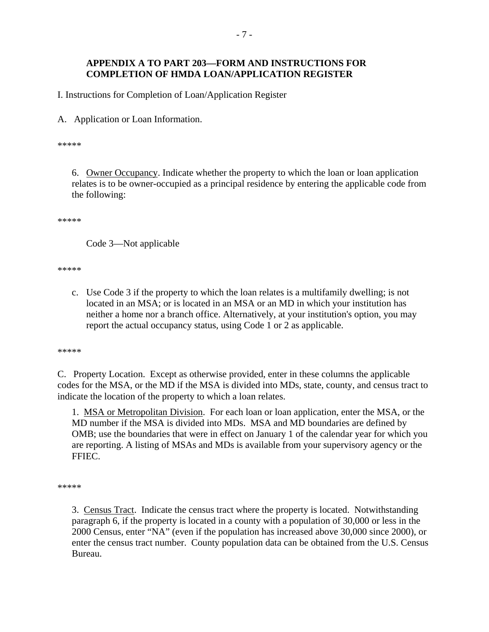## **APPENDIX A TO PART 203—FORM AND INSTRUCTIONS FOR COMPLETION OF HMDA LOAN/APPLICATION REGISTER**

I. Instructions for Completion of Loan/Application Register

A. Application or Loan Information.

\*\*\*\*\*

6. Owner Occupancy. Indicate whether the property to which the loan or loan application relates is to be owner-occupied as a principal residence by entering the applicable code from the following:

\*\*\*\*\*

Code 3—Not applicable

\*\*\*\*\*

c. Use Code 3 if the property to which the loan relates is a multifamily dwelling; is not located in an MSA; or is located in an MSA or an MD in which your institution has neither a home nor a branch office. Alternatively, at your institution's option, you may report the actual occupancy status, using Code 1 or 2 as applicable.

\*\*\*\*\*

C. Property Location. Except as otherwise provided, enter in these columns the applicable codes for the MSA, or the MD if the MSA is divided into MDs, state, county, and census tract to indicate the location of the property to which a loan relates.

1. MSA or Metropolitan Division. For each loan or loan application, enter the MSA, or the MD number if the MSA is divided into MDs. MSA and MD boundaries are defined by OMB; use the boundaries that were in effect on January 1 of the calendar year for which you are reporting. A listing of MSAs and MDs is available from your supervisory agency or the FFIEC.

\*\*\*\*\*

3. Census Tract. Indicate the census tract where the property is located. Notwithstanding paragraph 6, if the property is located in a county with a population of 30,000 or less in the 2000 Census, enter "NA" (even if the population has increased above 30,000 since 2000), or enter the census tract number. County population data can be obtained from the U.S. Census Bureau.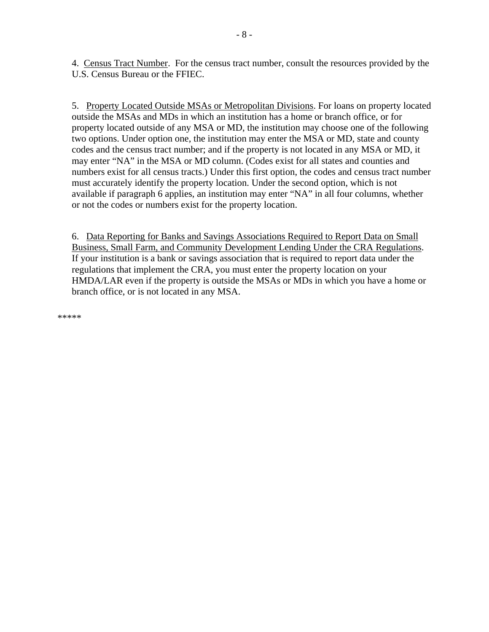4. Census Tract Number. For the census tract number, consult the resources provided by the U.S. Census Bureau or the FFIEC.

5. Property Located Outside MSAs or Metropolitan Divisions. For loans on property located outside the MSAs and MDs in which an institution has a home or branch office, or for property located outside of any MSA or MD, the institution may choose one of the following two options. Under option one, the institution may enter the MSA or MD, state and county codes and the census tract number; and if the property is not located in any MSA or MD, it may enter "NA" in the MSA or MD column. (Codes exist for all states and counties and numbers exist for all census tracts.) Under this first option, the codes and census tract number must accurately identify the property location. Under the second option, which is not available if paragraph 6 applies, an institution may enter "NA" in all four columns, whether or not the codes or numbers exist for the property location.

6. Data Reporting for Banks and Savings Associations Required to Report Data on Small Business, Small Farm, and Community Development Lending Under the CRA Regulations. If your institution is a bank or savings association that is required to report data under the regulations that implement the CRA, you must enter the property location on your HMDA/LAR even if the property is outside the MSAs or MDs in which you have a home or branch office, or is not located in any MSA.

\*\*\*\*\*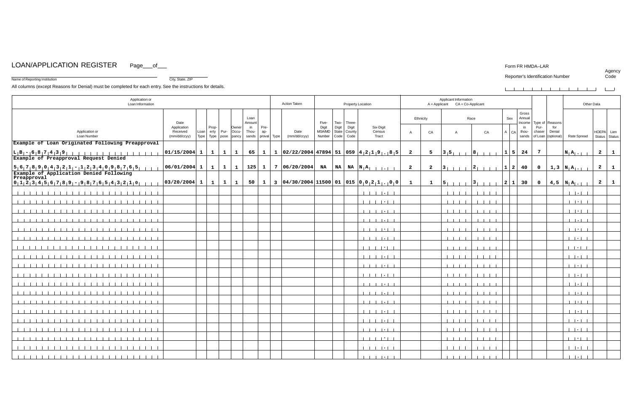# LOAN/APPLICATION REGISTER Page\_\_of\_\_

Name of Reporting Institution City, State, ZIP

#### Form FR HMDA–LAR

## Reporter's Identification Number

| Agency |
|--------|
| Code   |

| the control of the control of the control of the control of the control of the control of the control of the control of the control of the control of the control of the control of the control of the control of the control | _______ |  |  |  |
|-------------------------------------------------------------------------------------------------------------------------------------------------------------------------------------------------------------------------------|---------|--|--|--|

| Gross<br>Loan<br>Ethnicity<br>Race<br>Sex<br>Annual<br>Type of Reasons<br>Date<br>Five-<br>Two-   Three-<br>Amount<br>Income  <br>Digit<br>Six-Digit<br>Application<br>Prop-<br>Pre-<br>Digit<br>Digit<br>Pur-<br>Owner<br>in<br>in<br>for<br>$erly$ Pur-<br>MSA/MD<br>Thou-<br>State   County<br>Application or<br>Received<br>Loan<br>Occu-<br>Date<br>Census<br>thou-<br>chaser<br>Denial<br>HOEPA Lien<br>ap-<br>CA<br>CA<br>A   CA<br>$\mathsf{A}$<br>$\overline{A}$<br>Code   Code<br>Type<br>Type pose pancy<br>proval Type<br>Number<br>Rate Spread<br>Status   Status<br><b>Loan Number</b><br>(mm/dd/ccyy)<br>sands<br>(mm/dd/ccyy)<br>Tract<br>sands   of Loan   (optional)<br>Example of Loan Originated Following Preapproval<br>65   1   1   02/22/2004   47894   51   059   4 $_2$ 1   9 $_1$ 8   5<br>$\overline{7}$<br>$\overline{\mathbf{2}}$<br> 01/15/2004 1 1 1 <br>5 <sup>5</sup><br>$ 3 5 $     $ 8 $        <br> 1 5 24<br>$\mathbf{1}$<br>$\overline{\mathbf{2}}$<br>$\mathbf{N}_1 \mathbf{A}_{1 \cdot 1}$<br>Example of Preapproval Request Denied<br>$15, 6, 7, 8, 9, 0, 4, 3, 2, 1, -1, 2, 3, 4, 0, 9, 8, 7, 6, 5$<br>$\overline{\mathbf{2}}$<br>$\overline{\mathbf{2}}$<br>$ 3 $       $ 2 $         $ 1 $   $ 40 $<br>$\overline{\mathbf{0}}$<br>$1,3  N A_{1+1}$<br>$\overline{\mathbf{2}}$<br>Example of Application Denied Following<br>Preapproval |              |
|--------------------------------------------------------------------------------------------------------------------------------------------------------------------------------------------------------------------------------------------------------------------------------------------------------------------------------------------------------------------------------------------------------------------------------------------------------------------------------------------------------------------------------------------------------------------------------------------------------------------------------------------------------------------------------------------------------------------------------------------------------------------------------------------------------------------------------------------------------------------------------------------------------------------------------------------------------------------------------------------------------------------------------------------------------------------------------------------------------------------------------------------------------------------------------------------------------------------------------------------------------------------------------------------------------------------------------------------------------------------------------------|--------------|
|                                                                                                                                                                                                                                                                                                                                                                                                                                                                                                                                                                                                                                                                                                                                                                                                                                                                                                                                                                                                                                                                                                                                                                                                                                                                                                                                                                                      |              |
|                                                                                                                                                                                                                                                                                                                                                                                                                                                                                                                                                                                                                                                                                                                                                                                                                                                                                                                                                                                                                                                                                                                                                                                                                                                                                                                                                                                      |              |
|                                                                                                                                                                                                                                                                                                                                                                                                                                                                                                                                                                                                                                                                                                                                                                                                                                                                                                                                                                                                                                                                                                                                                                                                                                                                                                                                                                                      |              |
|                                                                                                                                                                                                                                                                                                                                                                                                                                                                                                                                                                                                                                                                                                                                                                                                                                                                                                                                                                                                                                                                                                                                                                                                                                                                                                                                                                                      | $\mathbf{1}$ |
|                                                                                                                                                                                                                                                                                                                                                                                                                                                                                                                                                                                                                                                                                                                                                                                                                                                                                                                                                                                                                                                                                                                                                                                                                                                                                                                                                                                      | $\mathbf{1}$ |
|                                                                                                                                                                                                                                                                                                                                                                                                                                                                                                                                                                                                                                                                                                                                                                                                                                                                                                                                                                                                                                                                                                                                                                                                                                                                                                                                                                                      |              |
| 50   1   3 $ 04/30/2004 11500 01 015 0 012 1 . 0 0 $<br>$ 0 1 2 3 4 5 6 7 8 9 -19 8 7 6 5 4 3 2 1 0 $<br> 03/20/2004 1 1 1 1<br>$\overline{\mathbf{2}}$<br>$ 5 $ $ 1 $ $ 3 $ $ 1 $<br>$\vert 2 \vert 1 \vert 30$<br>$\overline{\mathbf{0}}$<br>$ 4,5 N A_{1}$<br>$\mathbf{1}$<br>$\mathbf{1}$                                                                                                                                                                                                                                                                                                                                                                                                                                                                                                                                                                                                                                                                                                                                                                                                                                                                                                                                                                                                                                                                                        | $\mathbf{1}$ |
| $1 - 1 - 1 - 1 + 1 - 1$<br>$-1$ $-1$ $-1$ $-1$ $-$<br>$1 - 1 - 1 - 1$<br>$1 - 1 - 1 - 1$<br>.                                                                                                                                                                                                                                                                                                                                                                                                                                                                                                                                                                                                                                                                                                                                                                                                                                                                                                                                                                                                                                                                                                                                                                                                                                                                                        |              |
| $1 - 1 - 1 - 1$<br>$1 - 1 - 1 - 1 - 1 - 1$<br>$1 - 1 - 1 - 1$<br>$1 - 1 - 1 - 1$<br>$1 - 1 - 1 - 1$                                                                                                                                                                                                                                                                                                                                                                                                                                                                                                                                                                                                                                                                                                                                                                                                                                                                                                                                                                                                                                                                                                                                                                                                                                                                                  |              |
| $-1$ $-1$ $-1$ $-1$<br>$1 - 1 - 1 - 1 - 1 - 1$<br>$1 - 1 - 1 - 1$<br>$1 - 1 - 1 - 1$                                                                                                                                                                                                                                                                                                                                                                                                                                                                                                                                                                                                                                                                                                                                                                                                                                                                                                                                                                                                                                                                                                                                                                                                                                                                                                 |              |
| $-1$ $-1$ $-1$ $-1$<br>$1 - 1 - 1 - 1 - 1 - 1$<br>$-1$ $-1$ $-1$<br>$1 - 1 - 1 - 1$                                                                                                                                                                                                                                                                                                                                                                                                                                                                                                                                                                                                                                                                                                                                                                                                                                                                                                                                                                                                                                                                                                                                                                                                                                                                                                  |              |
| $1 - 1 + 1 - 1$<br>$1 - 1 - 1 - 1 - 1 - 1$<br>$-1$ $-1$ $-1$ $-1$<br>$1 - 1 - 1 - 1$                                                                                                                                                                                                                                                                                                                                                                                                                                                                                                                                                                                                                                                                                                                                                                                                                                                                                                                                                                                                                                                                                                                                                                                                                                                                                                 |              |
| $-1$ $-1$ $-1$ $-1$<br>$1 - 1 - 1 - 1$<br>$1 - 1 - 1 - 1 - 1 - 1$<br>$1 - 1 - 1 - 1$                                                                                                                                                                                                                                                                                                                                                                                                                                                                                                                                                                                                                                                                                                                                                                                                                                                                                                                                                                                                                                                                                                                                                                                                                                                                                                 |              |
| $\begin{array}{c} \hline \end{array} \qquad \begin{array}{c} \hline \end{array} \qquad \begin{array}{c} \hline \end{array} \qquad \begin{array}{c} \hline \end{array} \qquad \begin{array}{c} \hline \end{array} \qquad \begin{array}{c} \hline \end{array} \qquad \begin{array}{c} \hline \end{array} \qquad \begin{array}{c} \hline \end{array} \qquad \begin{array}{c} \hline \end{array} \qquad \begin{array}{c} \hline \end{array} \qquad \begin{array}{c} \hline \end{array} \qquad \begin{array}{c} \hline \end{array} \qquad \begin{array$<br>$1 - 1 - 1 - 1$<br>1 1 1 1 1 1 1 1 1 1 1 1 1 1 1<br>$1 - 1 - 1 - 1$<br>111111<br>$1 - 1 - 1 - 1$                                                                                                                                                                                                                                                                                                                                                                                                                                                                                                                                                                                                                                                                                                                               |              |
| $1 - 1 - 1 - 1$<br>$1 - 1 - 1 - 1$<br>$1 - 1 + 1 - 1$<br>$1 - 1 - 1 - 1 - 1 - 1$                                                                                                                                                                                                                                                                                                                                                                                                                                                                                                                                                                                                                                                                                                                                                                                                                                                                                                                                                                                                                                                                                                                                                                                                                                                                                                     |              |
| $-1$ $-1$ $-1$ $-1$ $-1$<br>$1 - 1 - 1 - 1$<br>$-1 - 1 - 1 - 1$<br>111111<br>$1 - 1 - 1 - 1$<br>,,,,,,,,,,,,,                                                                                                                                                                                                                                                                                                                                                                                                                                                                                                                                                                                                                                                                                                                                                                                                                                                                                                                                                                                                                                                                                                                                                                                                                                                                        |              |
| $\mathbf{1}$ $\mathbf{1}$ $\mathbf{1}$ $\mathbf{1}$<br>$1 - 1 - 1 - 1 - 1 - 1$<br>.<br>$1 - 1 - 1 - 1$<br>$1 - 1 - 1 - 1$                                                                                                                                                                                                                                                                                                                                                                                                                                                                                                                                                                                                                                                                                                                                                                                                                                                                                                                                                                                                                                                                                                                                                                                                                                                            |              |
| $1 - 1 + 1 - 1$<br>$1 - 1 - 1 - 1 - 1 - 1$<br>$-1$ $-1$ $-1$ $-1$<br>$1 - 1 - 1 - 1$                                                                                                                                                                                                                                                                                                                                                                                                                                                                                                                                                                                                                                                                                                                                                                                                                                                                                                                                                                                                                                                                                                                                                                                                                                                                                                 |              |
| $1 - 1 - 1 - 1 - 1 - 1$<br>$-1$ $-1$ $-1$ $-1$<br>$1 - 1 + 1 - 1$<br>$1 - 1 - 1 - 1$<br>1 1 1 1 1 1 1<br>11111111111111                                                                                                                                                                                                                                                                                                                                                                                                                                                                                                                                                                                                                                                                                                                                                                                                                                                                                                                                                                                                                                                                                                                                                                                                                                                              |              |
| $1 - 1 - 1 - 1$<br>$1 - 1 - 1 - 1 - 1 - 1$<br>$-1$ $-1$ $-1$ $-1$<br>$-1$ $-1$ $-1$ $-1$                                                                                                                                                                                                                                                                                                                                                                                                                                                                                                                                                                                                                                                                                                                                                                                                                                                                                                                                                                                                                                                                                                                                                                                                                                                                                             |              |
| $1 - 1 - 1 - 1$<br>$1 - 1 - 1 - 1$<br>$1 - 1 - 1 - 1$<br>1 1 1 1 1 1 1 1                                                                                                                                                                                                                                                                                                                                                                                                                                                                                                                                                                                                                                                                                                                                                                                                                                                                                                                                                                                                                                                                                                                                                                                                                                                                                                             |              |
| $1 - 1 - 1 - 1$<br>$1 - 1 - 1 - 1$<br>$1 - 1 - 1 - 1 - 1 - 1$<br>$1 - 1 - 1 - 1$<br>1 1 1 1 1 1 1 1 1 1 1<br>1111111111111                                                                                                                                                                                                                                                                                                                                                                                                                                                                                                                                                                                                                                                                                                                                                                                                                                                                                                                                                                                                                                                                                                                                                                                                                                                           |              |
| $1 - 1 - 1 - 1 - 1 - 1$<br>$1 - 1 - 1 - 1$<br>$1 - 1 - 1 - 1$<br>1 1 1 1 1 1 1 1<br>$1 - 1 - 1 - 1$<br>.                                                                                                                                                                                                                                                                                                                                                                                                                                                                                                                                                                                                                                                                                                                                                                                                                                                                                                                                                                                                                                                                                                                                                                                                                                                                             |              |
| $1 + 1 + 1 + 1 + 1$<br>$1 - 1 - 1 - 1$<br>$1 - 1 = 1 - 1$                                                                                                                                                                                                                                                                                                                                                                                                                                                                                                                                                                                                                                                                                                                                                                                                                                                                                                                                                                                                                                                                                                                                                                                                                                                                                                                            |              |
| $1 - 1 - 1 - 1$                                                                                                                                                                                                                                                                                                                                                                                                                                                                                                                                                                                                                                                                                                                                                                                                                                                                                                                                                                                                                                                                                                                                                                                                                                                                                                                                                                      |              |
| $1 - 1 - 1 - 1$<br>1 1 1 1 1 1 1 1<br>$1 - 1 - 1 - 1$<br>$1 - 1 - 1 - 1$<br>$-1$ , $-1$ , $-1$ , $-1$<br>$1 - 1 - 1 - 1$<br>$-1 - 1 - 1 - 1$<br>,,,,,,,,,,,,,,,,,,,,,,,,<br>$1 - 1 - 1 - 1 - 1 - 1$                                                                                                                                                                                                                                                                                                                                                                                                                                                                                                                                                                                                                                                                                                                                                                                                                                                                                                                                                                                                                                                                                                                                                                                  |              |

All columns (except Reasons for Denial) must be completed for each entry. See the instructions for details.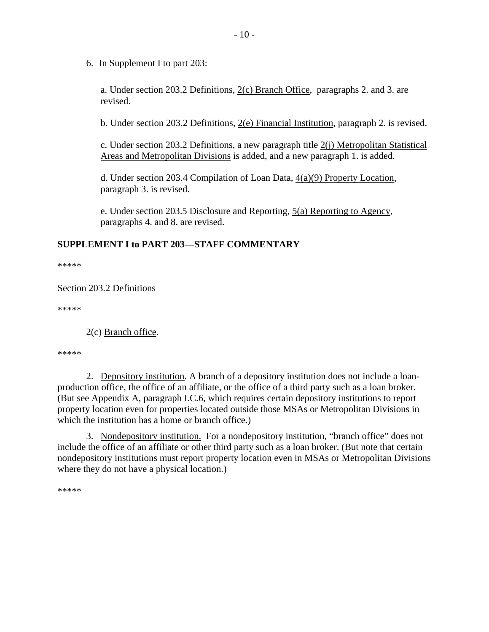6.In Supplement I to part 203:

a. Under section 203.2 Definitions,  $2(c)$  Branch Office, paragraphs 2. and 3. are revised.

b. Under section 203.2 Definitions, 2(e) Financial Institution, paragraph 2. is revised.

c. Under section 203.2 Definitions, a new paragraph title  $2(i)$  Metropolitan Statistical Areas and Metropolitan Divisions is added, and a new paragraph 1. is added.

d. Under section 203.4 Compilation of Loan Data,  $4(a)(9)$  Property Location, paragraph 3. is revised.

e. Under section 203.5 Disclosure and Reporting, 5(a) Reporting to Agency, paragraphs 4. and 8. are revised.

## **SUPPLEMENT I to PART 203—STAFF COMMENTARY**

\*\*\*\*\*

Section 203.2 Definitions

\*\*\*\*\*

2(c) Branch office.

\*\*\*\*\*

2. Depository institution. A branch of a depository institution does not include a loanproduction office, the office of an affiliate, or the office of a third party such as a loan broker. (But see Appendix A, paragraph I.C.6, which requires certain depository institutions to report property location even for properties located outside those MSAs or Metropolitan Divisions in which the institution has a home or branch office.)

3. Nondepository institution. For a nondepository institution, "branch office" does not include the office of an affiliate or other third party such as a loan broker. (But note that certain nondepository institutions must report property location even in MSAs or Metropolitan Divisions where they do not have a physical location.)

\*\*\*\*\*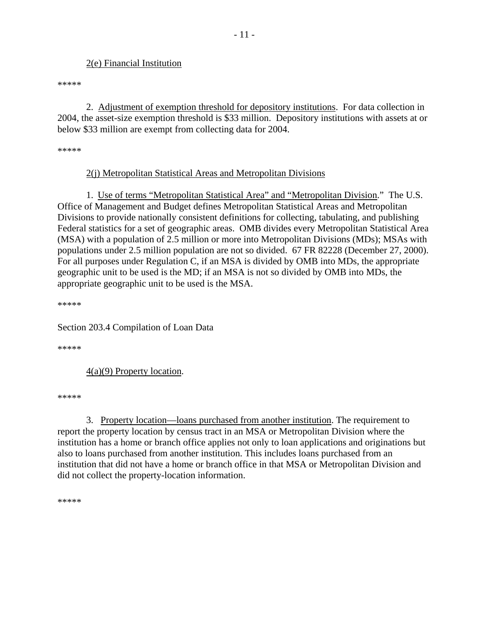## 2(e) Financial Institution

\*\*\*\*\*

 2. Adjustment of exemption threshold for depository institutions. For data collection in 2004, the asset-size exemption threshold is \$33 million. Depository institutions with assets at or below \$33 million are exempt from collecting data for 2004.

\*\*\*\*\*

## 2(j) Metropolitan Statistical Areas and Metropolitan Divisions

1. Use of terms "Metropolitan Statistical Area" and "Metropolitan Division." The U.S. Office of Management and Budget defines Metropolitan Statistical Areas and Metropolitan Divisions to provide nationally consistent definitions for collecting, tabulating, and publishing Federal statistics for a set of geographic areas. OMB divides every Metropolitan Statistical Area (MSA) with a population of 2.5 million or more into Metropolitan Divisions (MDs); MSAs with populations under 2.5 million population are not so divided. 67 FR 82228 (December 27, 2000). For all purposes under Regulation C, if an MSA is divided by OMB into MDs, the appropriate geographic unit to be used is the MD; if an MSA is not so divided by OMB into MDs, the appropriate geographic unit to be used is the MSA.

\*\*\*\*\*

Section 203.4 Compilation of Loan Data

\*\*\*\*\*

4(a)(9) Property location.

\*\*\*\*\*

3. Property location—loans purchased from another institution. The requirement to report the property location by census tract in an MSA or Metropolitan Division where the institution has a home or branch office applies not only to loan applications and originations but also to loans purchased from another institution. This includes loans purchased from an institution that did not have a home or branch office in that MSA or Metropolitan Division and did not collect the property-location information.

\*\*\*\*\*